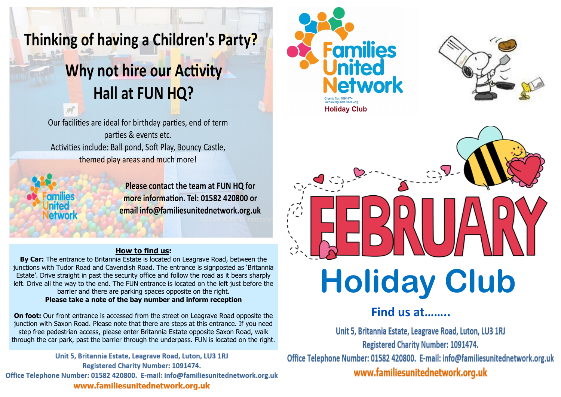## Thinking of having a Children's Party?

# Why not hire our Activity Hall at FUN HQ?

Our facilities are ideal for birthday parties, end of term parties & events etc. Activities include: Ball pond, Soft Play, Bouncy Castle, themed play areas and much more!

Please contact the team at FUN HQ for more information. Tel: 01582 420800 or email info@familiesunitednetwork.org.uk

#### **How to find us:**

**By Car:** The entrance to Britannia Estate is located on Leagrave Road, between the junctions with Tudor Road and Cavendish Road. The entrance is signposted as 'Britannia Estate'. Drive straight in past the security office and follow the road as it bears sharply left. Drive all the way to the end. The FUN entrance is located on the left just before the barrier and there are parking spaces opposite on the right. **Please take a note of the bay number and inform reception** 

**On foot:** Our front entrance is accessed from the street on Leagrave Road opposite the junction with Saxon Road. Please note that there are steps at this entrance. If you need step free pedestrian access, please enter Britannia Estate opposite Saxon Road, walk through the car park, past the barrier through the underpass. FUN is located on the right.

Unit 5, Britannia Estate, Leagrave Road, Luton, LU3 1RJ **Registered Charity Number: 1091474.** Office Telephone Number: 01582 420800. E-mail: info@familiesunitednetwork.org.uk www.familiesunitednetwork.org.uk







### **Find us at……..**

Unit 5, Britannia Estate, Leagrave Road, Luton, LU3 1RJ Registered Charity Number: 1091474.

Office Telephone Number: 01582 420800. E-mail: info@familiesunitednetwork.org.uk www.familiesunitednetwork.org.uk